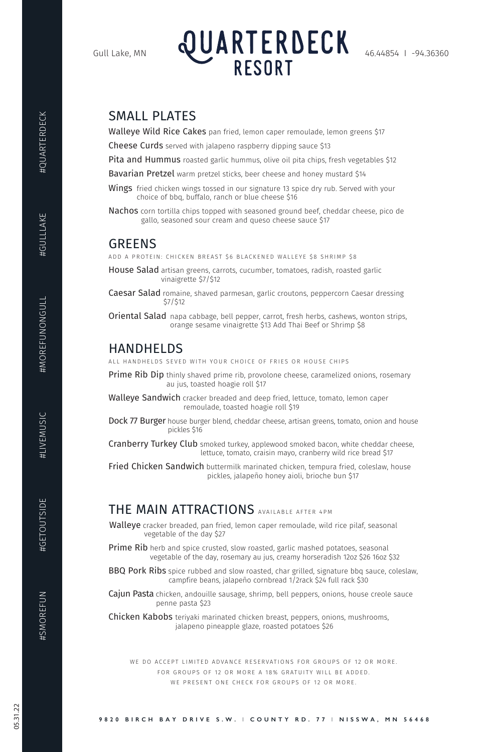## SMALL PLATES

Walleye Wild Rice Cakes pan fried, lemon caper remoulade, lemon greens \$17

Cheese Curds served with jalapeno raspberry dipping sauce \$13

Pita and Hummus roasted garlic hummus, olive oil pita chips, fresh vegetables \$12

Bavarian Pretzel warm pretzel sticks, beer cheese and honey mustard \$14

- **Wings** fried chicken wings tossed in our signature 13 spice dry rub. Served with your choice of bbq, buffalo, ranch or blue cheese \$16
- Nachos corn tortilla chips topped with seasoned ground beef, cheddar cheese, pico de gallo, seasoned sour cream and queso cheese sauce \$17

Caesar Salad romaine, shaved parmesan, garlic croutons, peppercorn Caesar dressing \$7/\$12

**Oriental Salad** napa cabbage, bell pepper, carrot, fresh herbs, cashews, wonton strips, orange sesame vinaigrette \$13 Add Thai Beef or Shrimp \$8

## GREENS

**Prime Rib Dip** thinly shaved prime rib, provolone cheese, caramelized onions, rosemary au jus, toasted hoagie roll \$17

ADD A PROTEIN: CHICKEN BREAST \$6 BLACKENED WALLEYE \$8 SHRIMP \$8

Walleye Sandwich cracker breaded and deep fried, lettuce, tomato, lemon caper remoulade, toasted hoagie roll \$19

Dock 77 Burger house burger blend, cheddar cheese, artisan greens, tomato, onion and house pickles \$16

House Salad artisan greens, carrots, cucumber, tomatoes, radish, roasted garlic vinaigrette \$7/\$12

Cranberry Turkey Club smoked turkey, applewood smoked bacon, white cheddar cheese, lettuce, tomato, craisin mayo, cranberry wild rice bread \$17

**Fried Chicken Sandwich** buttermilk marinated chicken, tempura fried, coleslaw, house pickles, jalapeño honey aioli, brioche bun \$17

Walleye cracker breaded, pan fried, lemon caper remoulade, wild rice pilaf, seasonal vegetable of the day \$27

**Prime Rib** herb and spice crusted, slow roasted, garlic mashed potatoes, seasonal

## HANDHELDS

ALL HANDHELDS SEVED WITH YOUR CHOICE OF FRIES OR HOUSE CHIPS

**BBQ Pork Ribs** spice rubbed and slow roasted, char grilled, signature bbq sauce, coleslaw, campfire beans, jalapeño cornbread 1/2rack \$24 full rack \$30

**Cajun Pasta** chicken, andouille sausage, shrimp, bell peppers, onions, house creole sauce penne pasta \$23

WE DO ACCEPT LIMITED ADVANCE RESERVATIONS FOR GROUPS OF 12 OR MORE. FOR GROUPS OF 12 OR MORE A 18% GRATUITY WILL BE ADDED. WE PRESENT ONE CHECK FOR GROUPS OF 12 OR MORE.

#GETOUTSIDE

## THE MAIN ATTRACTIONS AVAILABLE AFTER 4PM

vegetable of the day, rosemary au jus, creamy horseradish 12oz \$26 16oz \$32

Chicken Kabobs teriyaki marinated chicken breast, peppers, onions, mushrooms, jalapeno pineapple glaze, roasted potatoes \$26

**9820 BIRCH BAY DRIVE S.W.** I **COUNTY RD. 77** I **NISSWA, MN 56468**